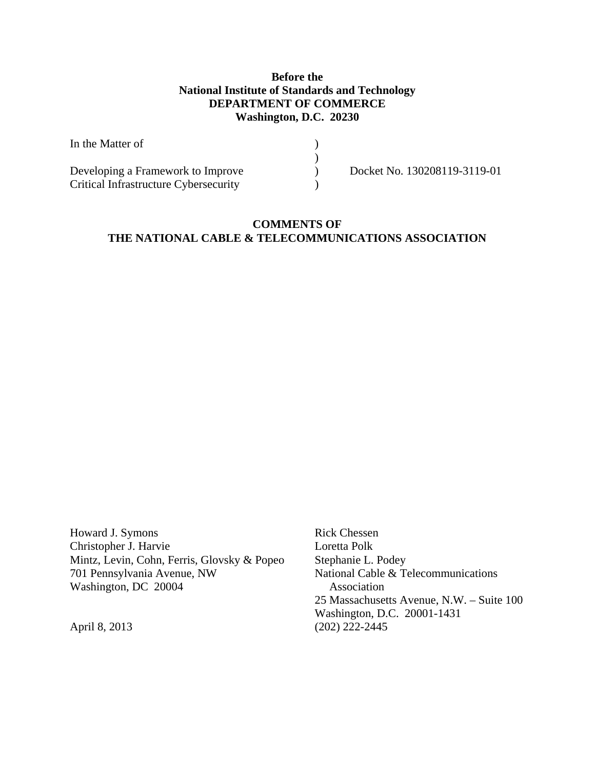# **Before the National Institute of Standards and Technology DEPARTMENT OF COMMERCE Washington, D.C. 20230**

| In the Matter of                      |                              |
|---------------------------------------|------------------------------|
|                                       |                              |
| Developing a Framework to Improve     | Docket No. 130208119-3119-01 |
| Critical Infrastructure Cybersecurity |                              |

# **COMMENTS OF THE NATIONAL CABLE & TELECOMMUNICATIONS ASSOCIATION**

Howard J. Symons Rick Chessen Christopher J. Harvie Loretta Polk Mintz, Levin, Cohn, Ferris, Glovsky & Popeo Stephanie L. Podey<br>
701 Pennsylvania Avenue, NW National Cable & To Washington, DC 20004 Association

National Cable & Telecommunications 25 Massachusetts Avenue, N.W. – Suite 100 Washington, D.C. 20001-1431 April 8, 2013 (202) 222-2445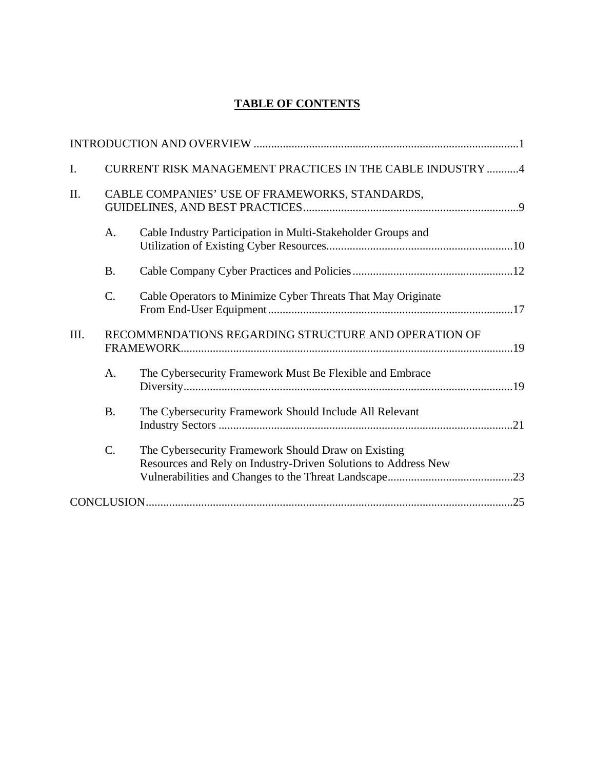# **TABLE OF CONTENTS**

| I.   |             | CURRENT RISK MANAGEMENT PRACTICES IN THE CABLE INDUSTRY 4                                                             |  |
|------|-------------|-----------------------------------------------------------------------------------------------------------------------|--|
| II.  |             | CABLE COMPANIES' USE OF FRAMEWORKS, STANDARDS,                                                                        |  |
|      | A.          | Cable Industry Participation in Multi-Stakeholder Groups and                                                          |  |
|      | <b>B.</b>   |                                                                                                                       |  |
|      | C.          | Cable Operators to Minimize Cyber Threats That May Originate                                                          |  |
| III. |             | RECOMMENDATIONS REGARDING STRUCTURE AND OPERATION OF                                                                  |  |
|      | $A_{\cdot}$ | The Cybersecurity Framework Must Be Flexible and Embrace                                                              |  |
|      | <b>B.</b>   | The Cybersecurity Framework Should Include All Relevant                                                               |  |
|      | C.          | The Cybersecurity Framework Should Draw on Existing<br>Resources and Rely on Industry-Driven Solutions to Address New |  |
|      |             |                                                                                                                       |  |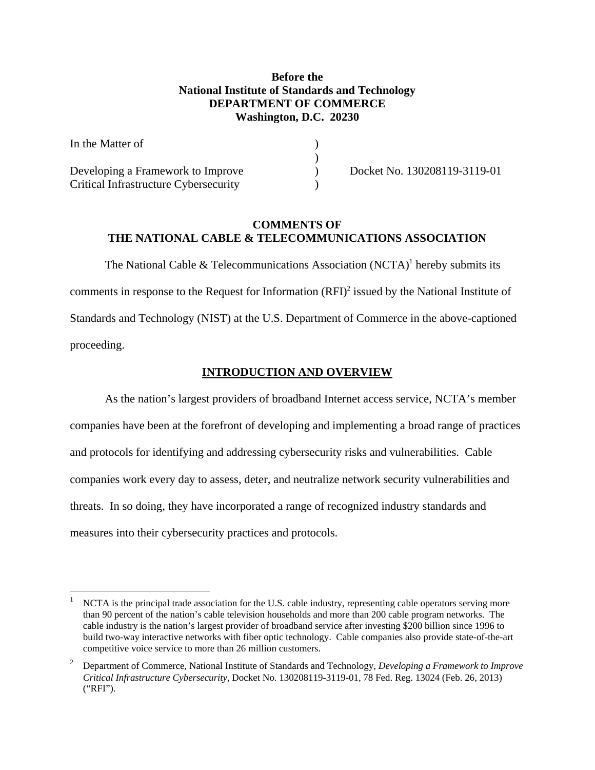# **Before the National Institute of Standards and Technology DEPARTMENT OF COMMERCE Washington, D.C. 20230**

| In the Matter of                      |                              |
|---------------------------------------|------------------------------|
|                                       |                              |
| Developing a Framework to Improve     | Docket No. 130208119-3119-01 |
| Critical Infrastructure Cybersecurity |                              |

## **COMMENTS OF THE NATIONAL CABLE & TELECOMMUNICATIONS ASSOCIATION**

The National Cable & Telecommunications Association  $(NCTA)^1$  hereby submits its comments in response to the Request for Information  $(RFI)^2$  issued by the National Institute of Standards and Technology (NIST) at the U.S. Department of Commerce in the above-captioned proceeding.

# **INTRODUCTION AND OVERVIEW**

As the nation's largest providers of broadband Internet access service, NCTA's member companies have been at the forefront of developing and implementing a broad range of practices and protocols for identifying and addressing cybersecurity risks and vulnerabilities. Cable companies work every day to assess, deter, and neutralize network security vulnerabilities and threats. In so doing, they have incorporated a range of recognized industry standards and measures into their cybersecurity practices and protocols.

 build two-way interactive networks with fiber optic technology. Cable companies also provide state-of-the-art competitive voice service to more than 26 million customers. NCTA is the principal trade association for the U.S. cable industry, representing cable operators serving more than 90 percent of the nation's cable television households and more than 200 cable program networks. The cable industry is the nation's largest provider of broadband service after investing \$200 billion since 1996 to

 *Critical Infrastructure Cybersecurity*, Docket No. 130208119-3119-01, 78 Fed. Reg. 13024 (Feb. 26, 2013) <sup>2</sup> Department of Commerce, National Institute of Standards and Technology, *Developing a Framework to Improve* ("RFI").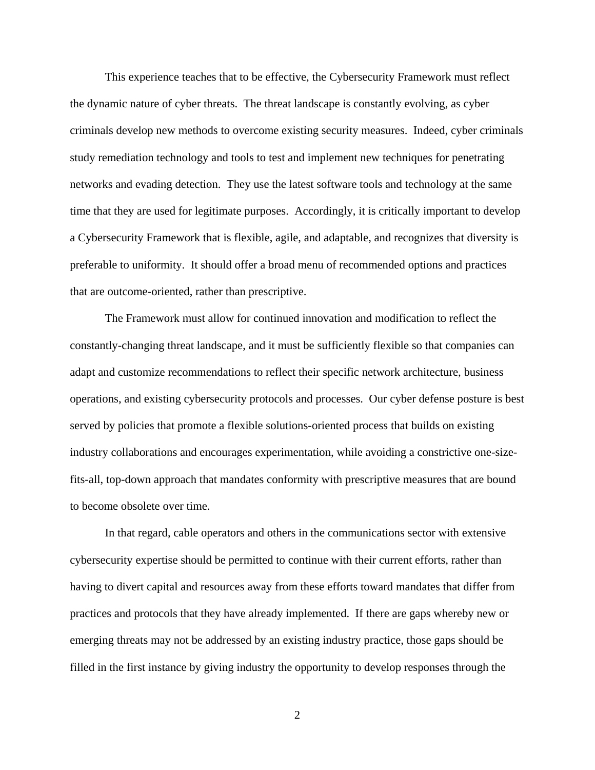This experience teaches that to be effective, the Cybersecurity Framework must reflect the dynamic nature of cyber threats. The threat landscape is constantly evolving, as cyber criminals develop new methods to overcome existing security measures. Indeed, cyber criminals study remediation technology and tools to test and implement new techniques for penetrating networks and evading detection. They use the latest software tools and technology at the same time that they are used for legitimate purposes. Accordingly, it is critically important to develop a Cybersecurity Framework that is flexible, agile, and adaptable, and recognizes that diversity is preferable to uniformity. It should offer a broad menu of recommended options and practices that are outcome-oriented, rather than prescriptive.

The Framework must allow for continued innovation and modification to reflect the constantly-changing threat landscape, and it must be sufficiently flexible so that companies can adapt and customize recommendations to reflect their specific network architecture, business operations, and existing cybersecurity protocols and processes. Our cyber defense posture is best served by policies that promote a flexible solutions-oriented process that builds on existing industry collaborations and encourages experimentation, while avoiding a constrictive one-sizefits-all, top-down approach that mandates conformity with prescriptive measures that are bound to become obsolete over time.

In that regard, cable operators and others in the communications sector with extensive cybersecurity expertise should be permitted to continue with their current efforts, rather than having to divert capital and resources away from these efforts toward mandates that differ from practices and protocols that they have already implemented. If there are gaps whereby new or emerging threats may not be addressed by an existing industry practice, those gaps should be filled in the first instance by giving industry the opportunity to develop responses through the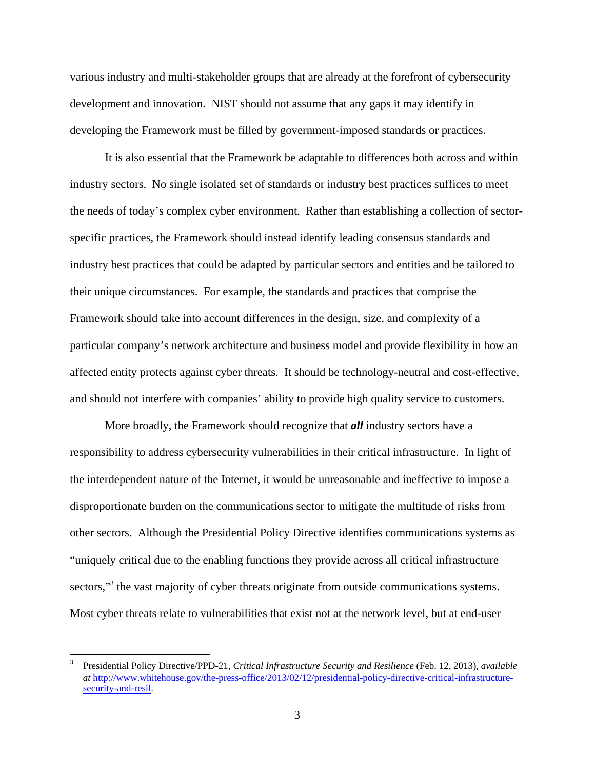various industry and multi-stakeholder groups that are already at the forefront of cybersecurity development and innovation. NIST should not assume that any gaps it may identify in developing the Framework must be filled by government-imposed standards or practices.

It is also essential that the Framework be adaptable to differences both across and within industry sectors. No single isolated set of standards or industry best practices suffices to meet the needs of today's complex cyber environment. Rather than establishing a collection of sectorspecific practices, the Framework should instead identify leading consensus standards and industry best practices that could be adapted by particular sectors and entities and be tailored to their unique circumstances. For example, the standards and practices that comprise the Framework should take into account differences in the design, size, and complexity of a particular company's network architecture and business model and provide flexibility in how an affected entity protects against cyber threats. It should be technology-neutral and cost-effective, and should not interfere with companies' ability to provide high quality service to customers.

More broadly, the Framework should recognize that *all* industry sectors have a responsibility to address cybersecurity vulnerabilities in their critical infrastructure. In light of the interdependent nature of the Internet, it would be unreasonable and ineffective to impose a disproportionate burden on the communications sector to mitigate the multitude of risks from other sectors. Although the Presidential Policy Directive identifies communications systems as "uniquely critical due to the enabling functions they provide across all critical infrastructure sectors,"<sup>3</sup> the vast majority of cyber threats originate from outside communications systems. Most cyber threats relate to vulnerabilities that exist not at the network level, but at end-user

Presidential Policy Directive/PPD-21, *Critical Infrastructure Security and Resilience* (Feb. 12, 2013), *available at* http://www.whitehouse.gov/the-press-office/2013/02/12/presidential-policy-directive-critical-infrastructuresecurity-and-resil. 3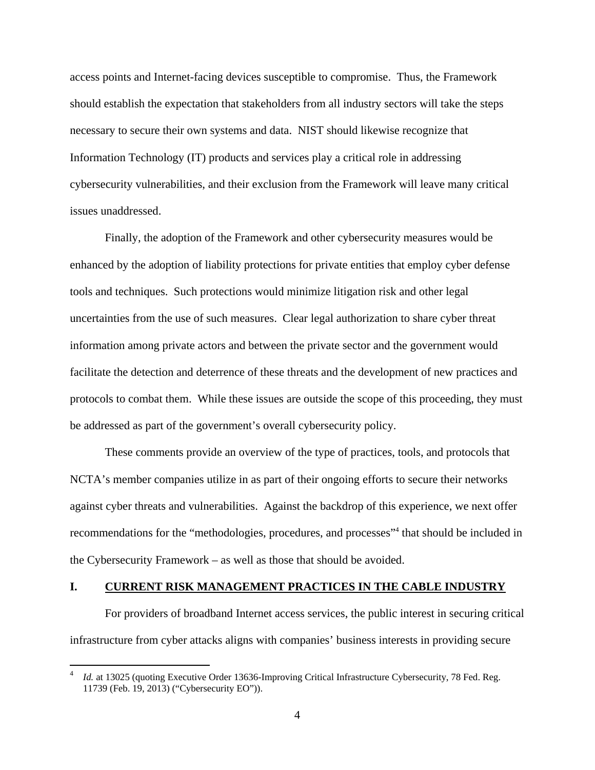<span id="page-5-0"></span>access points and Internet-facing devices susceptible to compromise. Thus, the Framework should establish the expectation that stakeholders from all industry sectors will take the steps necessary to secure their own systems and data. NIST should likewise recognize that Information Technology (IT) products and services play a critical role in addressing cybersecurity vulnerabilities, and their exclusion from the Framework will leave many critical issues unaddressed.

Finally, the adoption of the Framework and other cybersecurity measures would be enhanced by the adoption of liability protections for private entities that employ cyber defense tools and techniques. Such protections would minimize litigation risk and other legal uncertainties from the use of such measures. Clear legal authorization to share cyber threat information among private actors and between the private sector and the government would facilitate the detection and deterrence of these threats and the development of new practices and protocols to combat them. While these issues are outside the scope of this proceeding, they must be addressed as part of the government's overall cybersecurity policy.

These comments provide an overview of the type of practices, tools, and protocols that NCTA's member companies utilize in as part of their ongoing efforts to secure their networks against cyber threats and vulnerabilities. Against the backdrop of this experience, we next offer recommendations for the "methodologies, procedures, and processes"<sup>4</sup> that should be included in the Cybersecurity Framework – as well as those that should be avoided.

#### **I. CURRENT RISK MANAGEMENT PRACTICES IN THE CABLE INDUSTRY**

For providers of broadband Internet access services, the public interest in securing critical infrastructure from cyber attacks aligns with companies' business interests in providing secure

*Id.* at 13025 (quoting Executive Order 13636-Improving Critical Infrastructure Cybersecurity, 78 Fed. Reg. 11739 (Feb. 19, 2013) ("Cybersecurity EO")). 4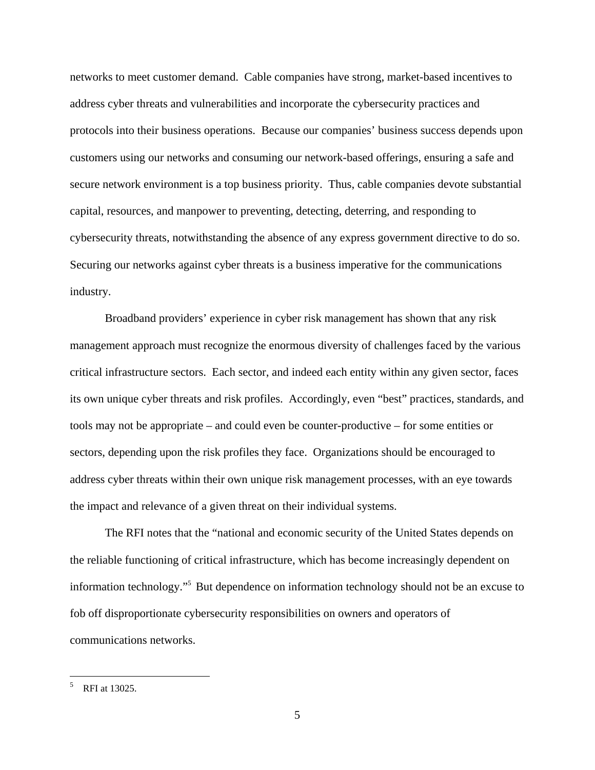networks to meet customer demand. Cable companies have strong, market-based incentives to address cyber threats and vulnerabilities and incorporate the cybersecurity practices and protocols into their business operations. Because our companies' business success depends upon customers using our networks and consuming our network-based offerings, ensuring a safe and secure network environment is a top business priority. Thus, cable companies devote substantial capital, resources, and manpower to preventing, detecting, deterring, and responding to cybersecurity threats, notwithstanding the absence of any express government directive to do so. Securing our networks against cyber threats is a business imperative for the communications industry.

Broadband providers' experience in cyber risk management has shown that any risk management approach must recognize the enormous diversity of challenges faced by the various critical infrastructure sectors. Each sector, and indeed each entity within any given sector, faces its own unique cyber threats and risk profiles. Accordingly, even "best" practices, standards, and tools may not be appropriate – and could even be counter-productive – for some entities or sectors, depending upon the risk profiles they face. Organizations should be encouraged to address cyber threats within their own unique risk management processes, with an eye towards the impact and relevance of a given threat on their individual systems.

The RFI notes that the "national and economic security of the United States depends on the reliable functioning of critical infrastructure, which has become increasingly dependent on information technology."5 But dependence on information technology should not be an excuse to fob off disproportionate cybersecurity responsibilities on owners and operators of communications networks.

RFI at 13025. 5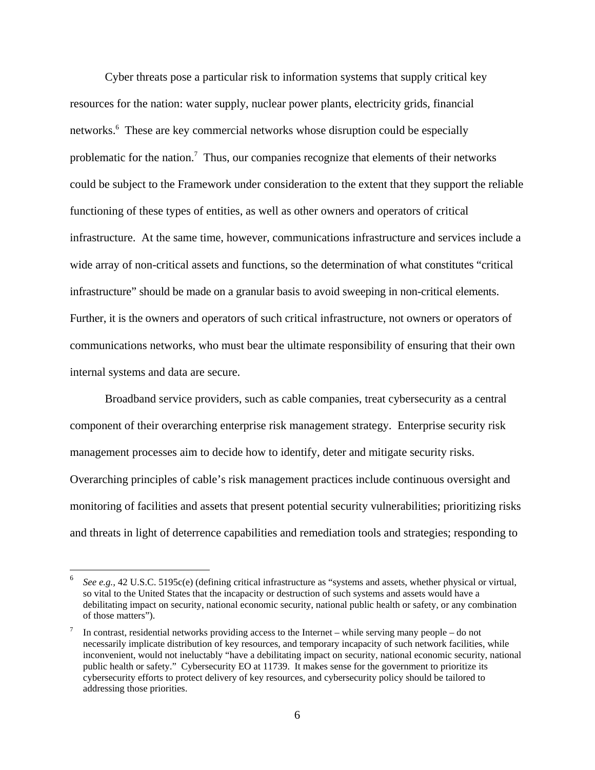Further, it is the owners and operators of such critical infrastructure, not owners or operators of internal systems and data are secure. Cyber threats pose a particular risk to information systems that supply critical key resources for the nation: water supply, nuclear power plants, electricity grids, financial networks.<sup>6</sup> These are key commercial networks whose disruption could be especially problematic for the nation.<sup>7</sup> Thus, our companies recognize that elements of their networks could be subject to the Framework under consideration to the extent that they support the reliable functioning of these types of entities, as well as other owners and operators of critical infrastructure. At the same time, however, communications infrastructure and services include a wide array of non-critical assets and functions, so the determination of what constitutes "critical infrastructure" should be made on a granular basis to avoid sweeping in non-critical elements. communications networks, who must bear the ultimate responsibility of ensuring that their own

Broadband service providers, such as cable companies, treat cybersecurity as a central component of their overarching enterprise risk management strategy. Enterprise security risk management processes aim to decide how to identify, deter and mitigate security risks. Overarching principles of cable's risk management practices include continuous oversight and monitoring of facilities and assets that present potential security vulnerabilities; prioritizing risks and threats in light of deterrence capabilities and remediation tools and strategies; responding to

<u>.</u>

<sup>&</sup>lt;sup>6</sup> *See e.g.,* 42 U.S.C. 5195c(e) (defining critical infrastructure as "systems and assets, whether physical or virtual, so vital to the United States that the incapacity or destruction of such systems and assets would have a debilitating impact on security, national economic security, national public health or safety, or any combination of those matters").

<sup>&</sup>lt;sup>7</sup> In contrast, residential networks providing access to the Internet – while serving many people – do not public health or safety." Cybersecurity EO at 11739. It makes sense for the government to prioritize its cybersecurity efforts to protect delivery of key resources, and cybersecurity policy should be tailored to necessarily implicate distribution of key resources, and temporary incapacity of such network facilities, while inconvenient, would not ineluctably "have a debilitating impact on security, national economic security, national addressing those priorities.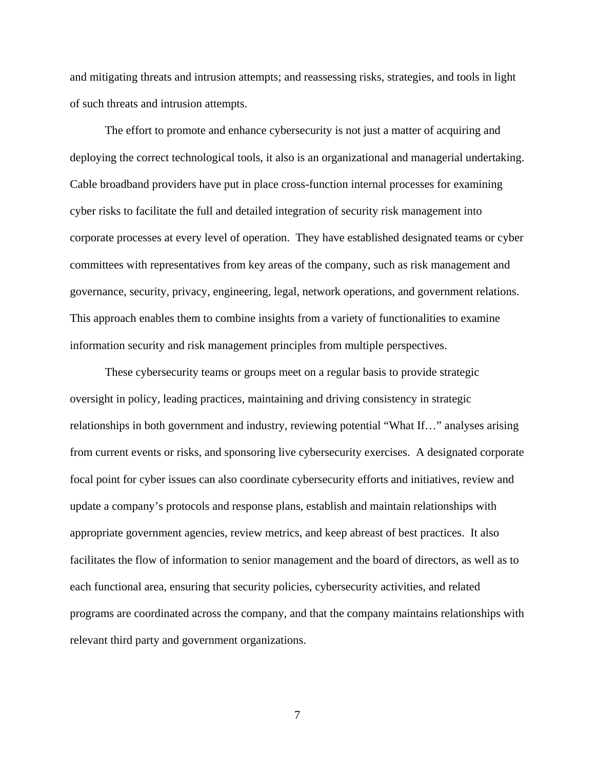and mitigating threats and intrusion attempts; and reassessing risks, strategies, and tools in light of such threats and intrusion attempts.

The effort to promote and enhance cybersecurity is not just a matter of acquiring and deploying the correct technological tools, it also is an organizational and managerial undertaking. Cable broadband providers have put in place cross-function internal processes for examining cyber risks to facilitate the full and detailed integration of security risk management into corporate processes at every level of operation. They have established designated teams or cyber committees with representatives from key areas of the company, such as risk management and governance, security, privacy, engineering, legal, network operations, and government relations. This approach enables them to combine insights from a variety of functionalities to examine information security and risk management principles from multiple perspectives.

These cybersecurity teams or groups meet on a regular basis to provide strategic oversight in policy, leading practices, maintaining and driving consistency in strategic relationships in both government and industry, reviewing potential "What If…" analyses arising from current events or risks, and sponsoring live cybersecurity exercises. A designated corporate focal point for cyber issues can also coordinate cybersecurity efforts and initiatives, review and update a company's protocols and response plans, establish and maintain relationships with appropriate government agencies, review metrics, and keep abreast of best practices. It also facilitates the flow of information to senior management and the board of directors, as well as to each functional area, ensuring that security policies, cybersecurity activities, and related programs are coordinated across the company, and that the company maintains relationships with relevant third party and government organizations.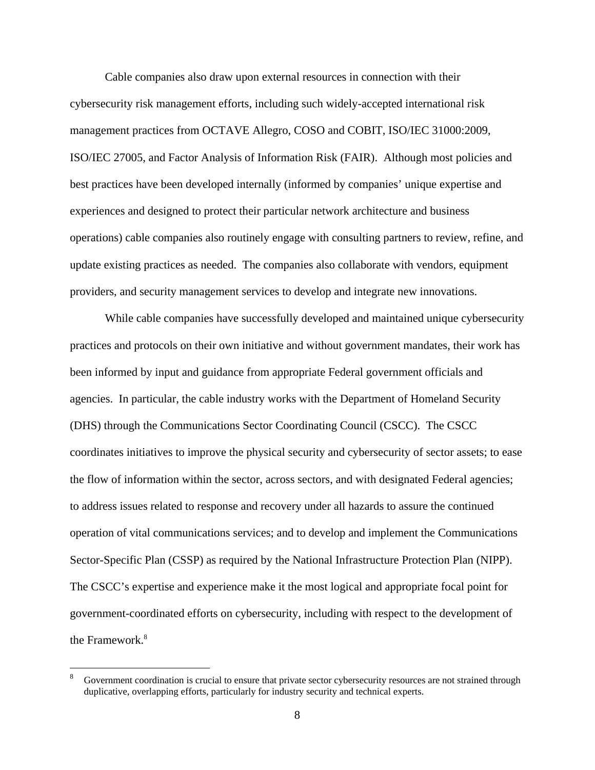Cable companies also draw upon external resources in connection with their cybersecurity risk management efforts, including such widely-accepted international risk management practices from OCTAVE Allegro, COSO and COBIT, ISO/IEC 31000:2009, ISO/IEC 27005, and Factor Analysis of Information Risk (FAIR). Although most policies and best practices have been developed internally (informed by companies' unique expertise and experiences and designed to protect their particular network architecture and business operations) cable companies also routinely engage with consulting partners to review, refine, and update existing practices as needed. The companies also collaborate with vendors, equipment providers, and security management services to develop and integrate new innovations.

(DHS) through the Communications Sector Coordinating Council (CSCC). The CSCC the Framework.<sup>8</sup> While cable companies have successfully developed and maintained unique cybersecurity practices and protocols on their own initiative and without government mandates, their work has been informed by input and guidance from appropriate Federal government officials and agencies. In particular, the cable industry works with the Department of Homeland Security coordinates initiatives to improve the physical security and cybersecurity of sector assets; to ease the flow of information within the sector, across sectors, and with designated Federal agencies; to address issues related to response and recovery under all hazards to assure the continued operation of vital communications services; and to develop and implement the Communications Sector-Specific Plan (CSSP) as required by the National Infrastructure Protection Plan (NIPP). The CSCC's expertise and experience make it the most logical and appropriate focal point for government-coordinated efforts on cybersecurity, including with respect to the development of

duplicative, overlapping efforts, particularly for industry security and technical experts.<br>8 Government coordination is crucial to ensure that private sector cybersecurity resources are not strained through 8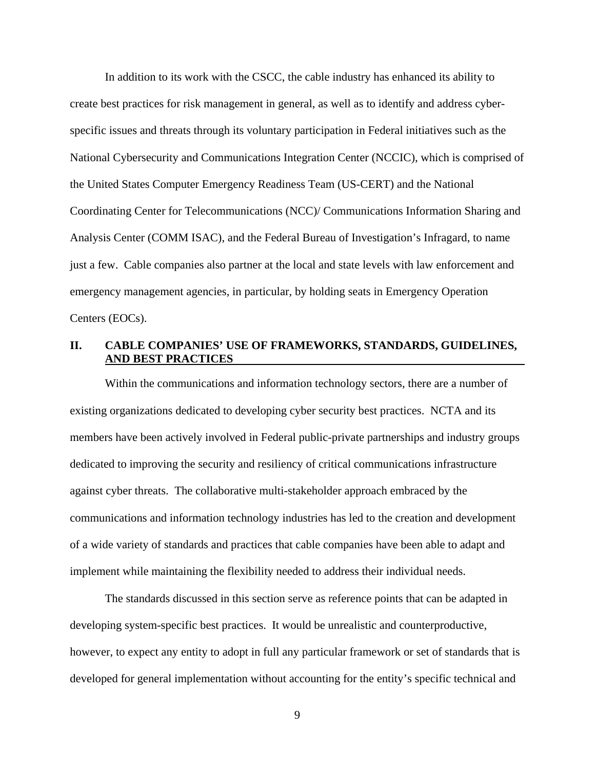<span id="page-10-0"></span>In addition to its work with the CSCC, the cable industry has enhanced its ability to create best practices for risk management in general, as well as to identify and address cyberspecific issues and threats through its voluntary participation in Federal initiatives such as the National Cybersecurity and Communications Integration Center (NCCIC), which is comprised of the United States Computer Emergency Readiness Team (US-CERT) and the National Coordinating Center for Telecommunications (NCC)/ Communications Information Sharing and Analysis Center (COMM ISAC), and the Federal Bureau of Investigation's Infragard, to name just a few. Cable companies also partner at the local and state levels with law enforcement and emergency management agencies, in particular, by holding seats in Emergency Operation Centers (EOCs).

### **AND BEST PRACTICES II. CABLE COMPANIES' USE OF FRAMEWORKS, STANDARDS, GUIDELINES,**

Within the communications and information technology sectors, there are a number of existing organizations dedicated to developing cyber security best practices. NCTA and its members have been actively involved in Federal public-private partnerships and industry groups dedicated to improving the security and resiliency of critical communications infrastructure against cyber threats. The collaborative multi-stakeholder approach embraced by the communications and information technology industries has led to the creation and development of a wide variety of standards and practices that cable companies have been able to adapt and implement while maintaining the flexibility needed to address their individual needs.

The standards discussed in this section serve as reference points that can be adapted in developing system-specific best practices. It would be unrealistic and counterproductive, however, to expect any entity to adopt in full any particular framework or set of standards that is developed for general implementation without accounting for the entity's specific technical and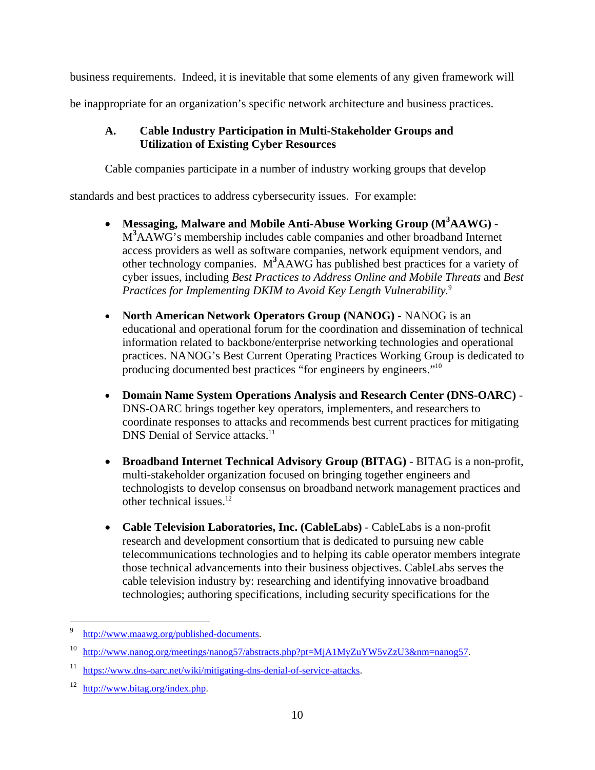<span id="page-11-0"></span>business requirements. Indeed, it is inevitable that some elements of any given framework will

be inappropriate for an organization's specific network architecture and business practices.

# **A. Cable Industry Participation in Multi-Stakeholder Groups and Utilization of Existing Cyber Resources**

Cable companies participate in a number of industry working groups that develop

standards and best practices to address cybersecurity issues. For example:

- *Practices for Implementing DKIM to Avoid Key Length Vulnerability.*<sup>9</sup> **Messaging, Malware and Mobile Anti-Abuse Working Group (M<sup>3</sup> AAWG)** - M**<sup>3</sup>** AAWG's membership includes cable companies and other broadband Internet access providers as well as software companies, network equipment vendors, and other technology companies. M**<sup>3</sup>** AAWG has published best practices for a variety of cyber issues, including *Best Practices to Address Online and Mobile Threats* and *Best*
- **North American Network Operators Group (NANOG)** NANOG is an educational and operational forum for the coordination and dissemination of technical information related to backbone/enterprise networking technologies and operational practices. NANOG's Best Current Operating Practices Working Group is dedicated to producing documented best practices "for engineers by engineers."10
- **Domain Name System Operations Analysis and Research Center (DNS-OARC)** DNS-OARC brings together key operators, implementers, and researchers to coordinate responses to attacks and recommends best current practices for mitigating DNS Denial of Service attacks.<sup>11</sup>
- **Broadband Internet Technical Advisory Group (BITAG)** BITAG is a non-profit, multi-stakeholder organization focused on bringing together engineers and technologists to develop consensus on broadband network management practices and other technical issues.12
- **Cable Television Laboratories, Inc. (CableLabs)** CableLabs is a non-profit research and development consortium that is dedicated to pursuing new cable telecommunications technologies and to helping its cable operator members integrate those technical advancements into their business objectives. CableLabs serves the cable television industry by: researching and identifying innovative broadband technologies; authoring specifications, including security specifications for the

 $\overline{Q}$ 9 http://www.maawg.org/published-documents.

<sup>10</sup> http://www.nanog.org/meetings/nanog57/abstracts.php?pt=MjA1MyZuYW5vZzU3&nm=nanog57.

<sup>11</sup> https://www.dns-oarc.net/wiki/mitigating-dns-denial-of-service-attacks.

<sup>12</sup> http://www.bitag.org/index.php.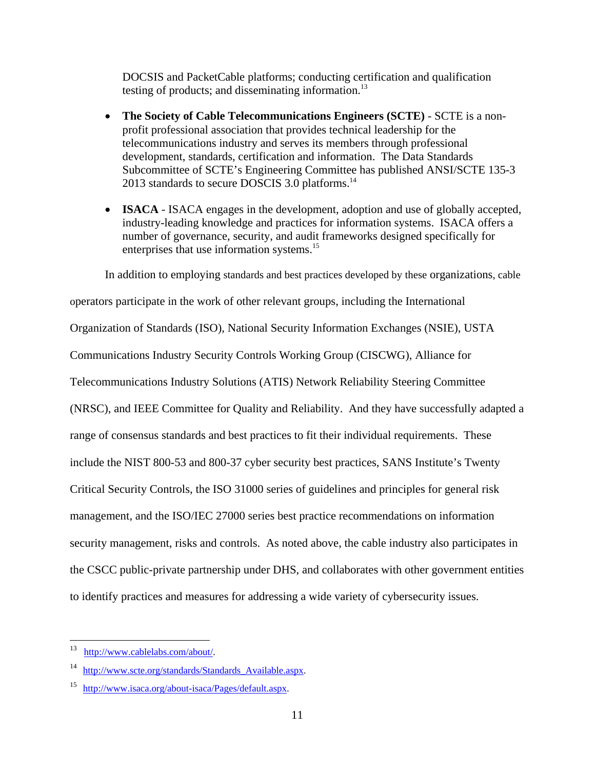DOCSIS and PacketCable platforms; conducting certification and qualification testing of products; and disseminating information.<sup>13</sup>

- **The Society of Cable Telecommunications Engineers (SCTE)** SCTE is a nonprofit professional association that provides technical leadership for the telecommunications industry and serves its members through professional development, standards, certification and information. The Data Standards Subcommittee of SCTE's Engineering Committee has published ANSI/SCTE 135-3 2013 standards to secure DOSCIS 3.0 platforms.<sup>14</sup>
- **ISACA** ISACA engages in the development, adoption and use of globally accepted, industry-leading knowledge and practices for information systems. ISACA offers a number of governance, security, and audit frameworks designed specifically for enterprises that use information systems.<sup>15</sup>

In addition to employing standards and best practices developed by these organizations, cable

operators participate in the work of other relevant groups, including the International Organization of Standards (ISO), National Security Information Exchanges (NSIE), USTA Communications Industry Security Controls Working Group (CISCWG), Alliance for Telecommunications Industry Solutions (ATIS) Network Reliability Steering Committee (NRSC), and IEEE Committee for Quality and Reliability. And they have successfully adapted a range of consensus standards and best practices to fit their individual requirements. These include the NIST 800-53 and 800-37 cyber security best practices, SANS Institute's Twenty Critical Security Controls, the ISO 31000 series of guidelines and principles for general risk management, and the ISO/IEC 27000 series best practice recommendations on information security management, risks and controls. As noted above, the cable industry also participates in the CSCC public-private partnership under DHS, and collaborates with other government entities to identify practices and measures for addressing a wide variety of cybersecurity issues.

http://www.cablelabs.com/about/.

<sup>&</sup>lt;sup>14</sup> http://www.scte.org/standards/Standards Available.aspx.

<sup>15</sup> http://www.isaca.org/about-isaca/Pages/default.aspx.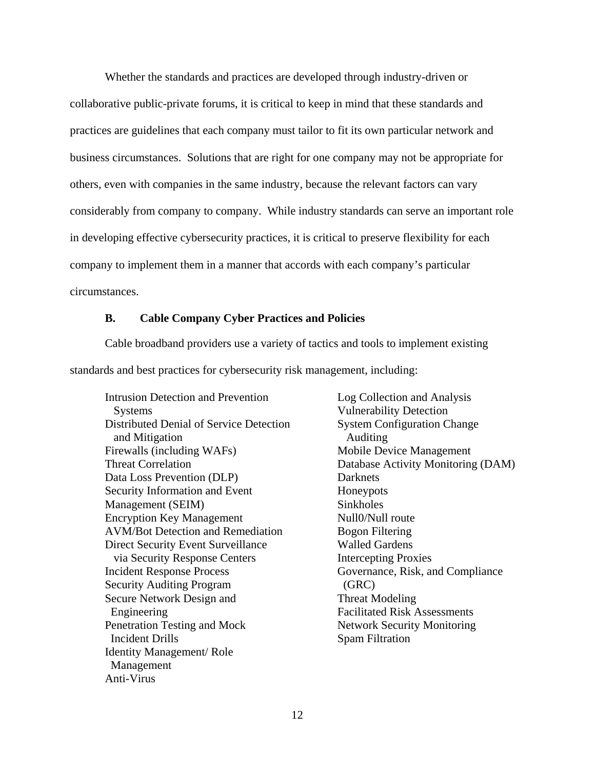<span id="page-13-0"></span>Whether the standards and practices are developed through industry-driven or collaborative public-private forums, it is critical to keep in mind that these standards and practices are guidelines that each company must tailor to fit its own particular network and business circumstances. Solutions that are right for one company may not be appropriate for others, even with companies in the same industry, because the relevant factors can vary considerably from company to company. While industry standards can serve an important role in developing effective cybersecurity practices, it is critical to preserve flexibility for each company to implement them in a manner that accords with each company's particular circumstances.

#### **B. Cable Company Cyber Practices and Policies**

Cable broadband providers use a variety of tactics and tools to implement existing standards and best practices for cybersecurity risk management, including:

Intrusion Detection and Prevention Log Collection and Analysis Systems Vulnerability Detection Distributed Denial of Service Detection System Configuration Change and Mitigation Auditing Firewalls (including WAFs) Mobile Device Management Threat Correlation Database Activity Monitoring (DAM) Data Loss Prevention (DLP) Darknets Security Information and Event Honeypots Management (SEIM) Sinkholes Encryption Key Management Null0/Null route AVM/Bot Detection and Remediation Bogon Filtering Direct Security Event Surveillance Walled Gardens via Security Response Centers **Intercepting Proxies** Incident Response Process Governance, Risk, and Compliance Security Auditing Program (GRC) Secure Network Design and Threat Modeling Engineering Facilitated Risk Assessments Penetration Testing and Mock Network Security Monitoring **Incident Drills** Spam Filtration Identity Management/ Role Management Anti-Virus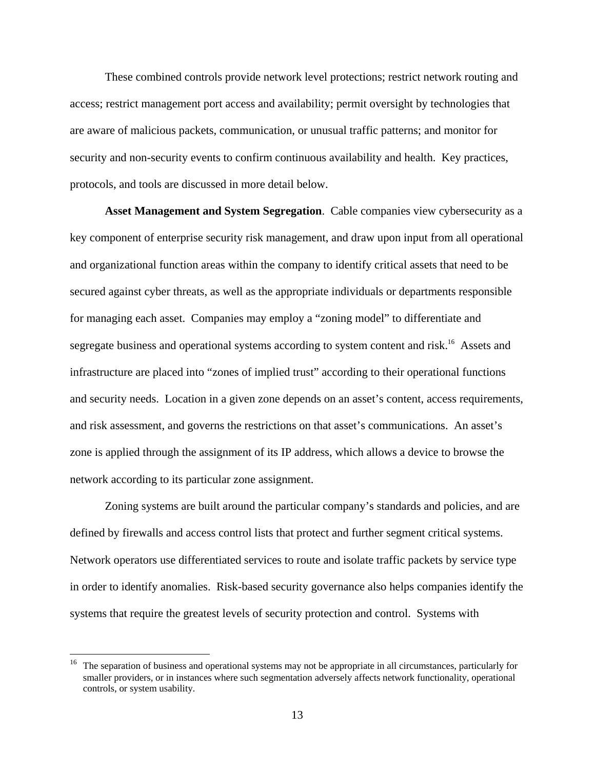These combined controls provide network level protections; restrict network routing and access; restrict management port access and availability; permit oversight by technologies that are aware of malicious packets, communication, or unusual traffic patterns; and monitor for security and non-security events to confirm continuous availability and health. Key practices, protocols, and tools are discussed in more detail below.

**Asset Management and System Segregation**. Cable companies view cybersecurity as a key component of enterprise security risk management, and draw upon input from all operational and organizational function areas within the company to identify critical assets that need to be secured against cyber threats, as well as the appropriate individuals or departments responsible for managing each asset. Companies may employ a "zoning model" to differentiate and segregate business and operational systems according to system content and risk.<sup>16</sup> Assets and infrastructure are placed into "zones of implied trust" according to their operational functions and security needs. Location in a given zone depends on an asset's content, access requirements, and risk assessment, and governs the restrictions on that asset's communications. An asset's zone is applied through the assignment of its IP address, which allows a device to browse the network according to its particular zone assignment.

Zoning systems are built around the particular company's standards and policies, and are defined by firewalls and access control lists that protect and further segment critical systems. Network operators use differentiated services to route and isolate traffic packets by service type in order to identify anomalies. Risk-based security governance also helps companies identify the systems that require the greatest levels of security protection and control. Systems with

<sup>16</sup> The separation of business and operational systems may not be appropriate in all circumstances, particularly for smaller providers, or in instances where such segmentation adversely affects network functionality, operational controls, or system usability.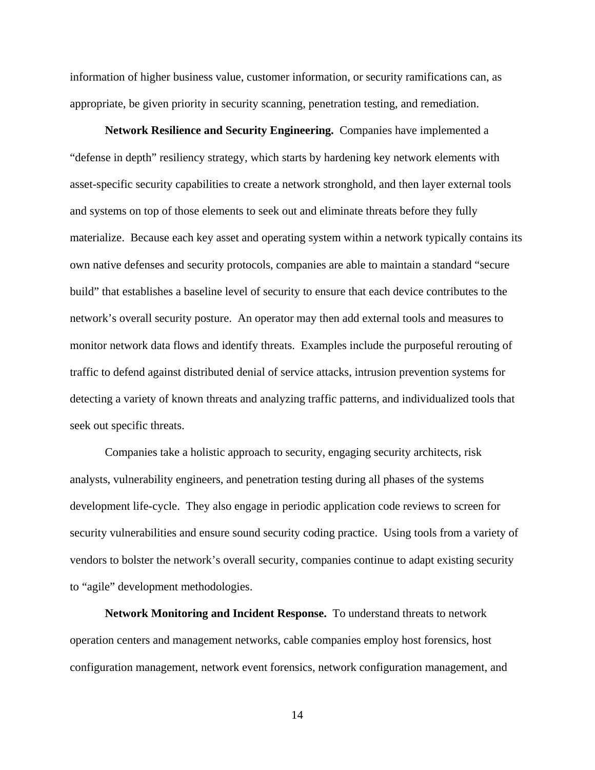information of higher business value, customer information, or security ramifications can, as appropriate, be given priority in security scanning, penetration testing, and remediation.

**Network Resilience and Security Engineering.** Companies have implemented a "defense in depth" resiliency strategy, which starts by hardening key network elements with asset-specific security capabilities to create a network stronghold, and then layer external tools and systems on top of those elements to seek out and eliminate threats before they fully materialize. Because each key asset and operating system within a network typically contains its own native defenses and security protocols, companies are able to maintain a standard "secure build" that establishes a baseline level of security to ensure that each device contributes to the network's overall security posture. An operator may then add external tools and measures to monitor network data flows and identify threats. Examples include the purposeful rerouting of traffic to defend against distributed denial of service attacks, intrusion prevention systems for detecting a variety of known threats and analyzing traffic patterns, and individualized tools that seek out specific threats.

Companies take a holistic approach to security, engaging security architects, risk analysts, vulnerability engineers, and penetration testing during all phases of the systems development life-cycle. They also engage in periodic application code reviews to screen for security vulnerabilities and ensure sound security coding practice. Using tools from a variety of vendors to bolster the network's overall security, companies continue to adapt existing security to "agile" development methodologies.

**Network Monitoring and Incident Response.** To understand threats to network operation centers and management networks, cable companies employ host forensics, host configuration management, network event forensics, network configuration management, and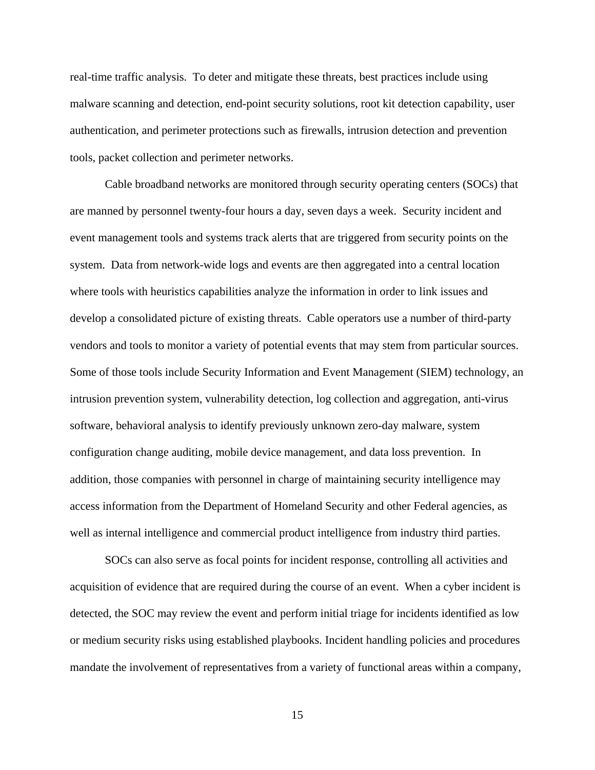real-time traffic analysis. To deter and mitigate these threats, best practices include using malware scanning and detection, end-point security solutions, root kit detection capability, user authentication, and perimeter protections such as firewalls, intrusion detection and prevention tools, packet collection and perimeter networks.

Cable broadband networks are monitored through security operating centers (SOCs) that are manned by personnel twenty-four hours a day, seven days a week. Security incident and event management tools and systems track alerts that are triggered from security points on the system. Data from network-wide logs and events are then aggregated into a central location where tools with heuristics capabilities analyze the information in order to link issues and develop a consolidated picture of existing threats. Cable operators use a number of third-party vendors and tools to monitor a variety of potential events that may stem from particular sources. Some of those tools include Security Information and Event Management (SIEM) technology, an intrusion prevention system, vulnerability detection, log collection and aggregation, anti-virus software, behavioral analysis to identify previously unknown zero-day malware, system configuration change auditing, mobile device management, and data loss prevention. In addition, those companies with personnel in charge of maintaining security intelligence may access information from the Department of Homeland Security and other Federal agencies, as well as internal intelligence and commercial product intelligence from industry third parties.

SOCs can also serve as focal points for incident response, controlling all activities and acquisition of evidence that are required during the course of an event. When a cyber incident is detected, the SOC may review the event and perform initial triage for incidents identified as low or medium security risks using established playbooks. Incident handling policies and procedures mandate the involvement of representatives from a variety of functional areas within a company,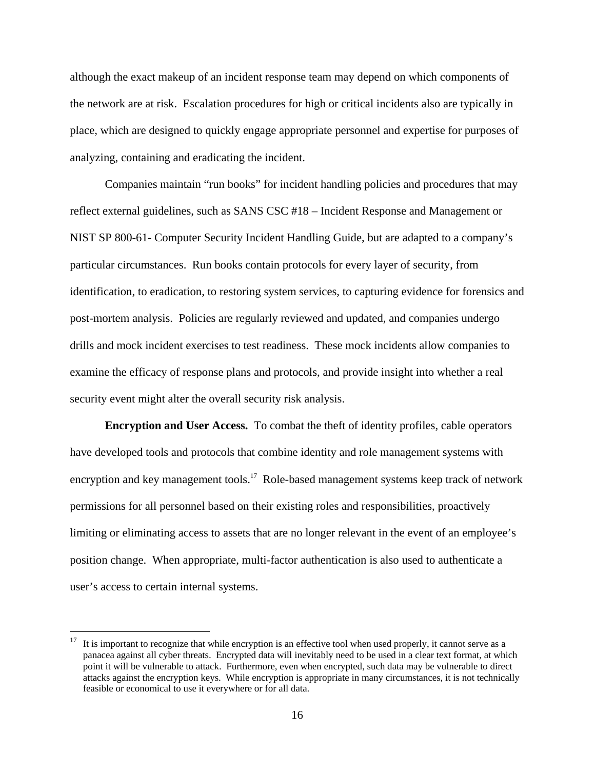although the exact makeup of an incident response team may depend on which components of the network are at risk. Escalation procedures for high or critical incidents also are typically in place, which are designed to quickly engage appropriate personnel and expertise for purposes of analyzing, containing and eradicating the incident.

Companies maintain "run books" for incident handling policies and procedures that may reflect external guidelines, such as SANS CSC #18 – Incident Response and Management or NIST SP 800-61- Computer Security Incident Handling Guide, but are adapted to a company's particular circumstances. Run books contain protocols for every layer of security, from identification, to eradication, to restoring system services, to capturing evidence for forensics and post-mortem analysis. Policies are regularly reviewed and updated, and companies undergo drills and mock incident exercises to test readiness. These mock incidents allow companies to examine the efficacy of response plans and protocols, and provide insight into whether a real security event might alter the overall security risk analysis.

**Encryption and User Access.** To combat the theft of identity profiles, cable operators have developed tools and protocols that combine identity and role management systems with encryption and key management tools.<sup>17</sup> Role-based management systems keep track of network permissions for all personnel based on their existing roles and responsibilities, proactively limiting or eliminating access to assets that are no longer relevant in the event of an employee's position change. When appropriate, multi-factor authentication is also used to authenticate a user's access to certain internal systems.

 $17$  It is important to recognize that while encryption is an effective tool when used properly, it cannot serve as a panacea against all cyber threats. Encrypted data will inevitably need to be used in a clear text format, at which point it will be vulnerable to attack. Furthermore, even when encrypted, such data may be vulnerable to direct attacks against the encryption keys. While encryption is appropriate in many circumstances, it is not technically feasible or economical to use it everywhere or for all data.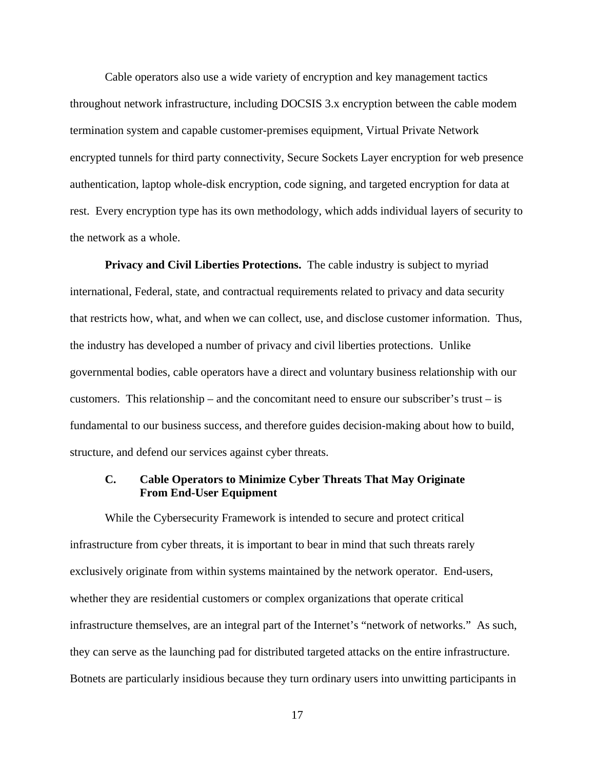<span id="page-18-0"></span>Cable operators also use a wide variety of encryption and key management tactics throughout network infrastructure, including DOCSIS 3.x encryption between the cable modem termination system and capable customer-premises equipment, Virtual Private Network encrypted tunnels for third party connectivity, Secure Sockets Layer encryption for web presence authentication, laptop whole-disk encryption, code signing, and targeted encryption for data at rest. Every encryption type has its own methodology, which adds individual layers of security to the network as a whole.

**Privacy and Civil Liberties Protections.** The cable industry is subject to myriad international, Federal, state, and contractual requirements related to privacy and data security that restricts how, what, and when we can collect, use, and disclose customer information. Thus, the industry has developed a number of privacy and civil liberties protections. Unlike governmental bodies, cable operators have a direct and voluntary business relationship with our customers. This relationship – and the concomitant need to ensure our subscriber's trust – is fundamental to our business success, and therefore guides decision-making about how to build, structure, and defend our services against cyber threats.

# **C. Cable Operators to Minimize Cyber Threats That May Originate From End-User Equipment**

While the Cybersecurity Framework is intended to secure and protect critical infrastructure from cyber threats, it is important to bear in mind that such threats rarely exclusively originate from within systems maintained by the network operator. End-users, whether they are residential customers or complex organizations that operate critical infrastructure themselves, are an integral part of the Internet's "network of networks." As such, they can serve as the launching pad for distributed targeted attacks on the entire infrastructure. Botnets are particularly insidious because they turn ordinary users into unwitting participants in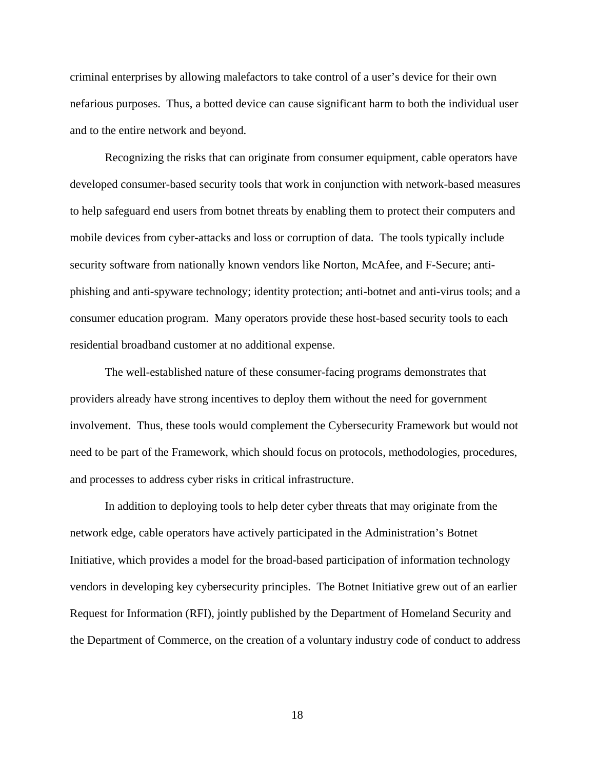criminal enterprises by allowing malefactors to take control of a user's device for their own nefarious purposes. Thus, a botted device can cause significant harm to both the individual user and to the entire network and beyond.

Recognizing the risks that can originate from consumer equipment, cable operators have developed consumer-based security tools that work in conjunction with network-based measures to help safeguard end users from botnet threats by enabling them to protect their computers and mobile devices from cyber-attacks and loss or corruption of data. The tools typically include security software from nationally known vendors like Norton, McAfee, and F-Secure; antiphishing and anti-spyware technology; identity protection; anti-botnet and anti-virus tools; and a consumer education program. Many operators provide these host-based security tools to each residential broadband customer at no additional expense.

The well-established nature of these consumer-facing programs demonstrates that providers already have strong incentives to deploy them without the need for government involvement. Thus, these tools would complement the Cybersecurity Framework but would not need to be part of the Framework, which should focus on protocols, methodologies, procedures, and processes to address cyber risks in critical infrastructure.

In addition to deploying tools to help deter cyber threats that may originate from the network edge, cable operators have actively participated in the Administration's Botnet Initiative, which provides a model for the broad-based participation of information technology vendors in developing key cybersecurity principles. The Botnet Initiative grew out of an earlier Request for Information (RFI), jointly published by the Department of Homeland Security and the Department of Commerce, on the creation of a voluntary industry code of conduct to address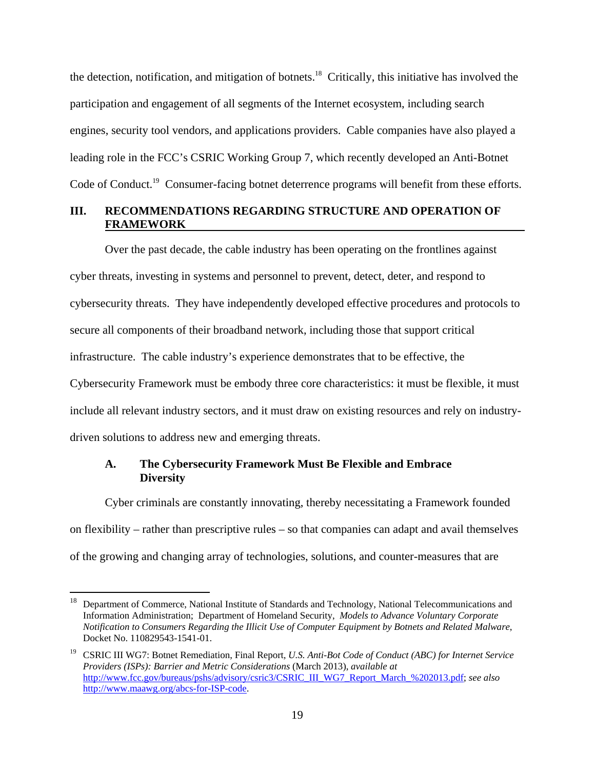<span id="page-20-0"></span>the detection, notification, and mitigation of botnets.<sup>18</sup> Critically, this initiative has involved the participation and engagement of all segments of the Internet ecosystem, including search engines, security tool vendors, and applications providers. Cable companies have also played a leading role in the FCC's CSRIC Working Group 7, which recently developed an Anti-Botnet Code of Conduct.<sup>19</sup> Consumer-facing botnet deterrence programs will benefit from these efforts.

### **FRAMEWORK III. RECOMMENDATIONS REGARDING STRUCTURE AND OPERATION OF**

Over the past decade, the cable industry has been operating on the frontlines against cyber threats, investing in systems and personnel to prevent, detect, deter, and respond to cybersecurity threats. They have independently developed effective procedures and protocols to secure all components of their broadband network, including those that support critical infrastructure. The cable industry's experience demonstrates that to be effective, the Cybersecurity Framework must be embody three core characteristics: it must be flexible, it must include all relevant industry sectors, and it must draw on existing resources and rely on industrydriven solutions to address new and emerging threats.

### **A. The Cybersecurity Framework Must Be Flexible and Embrace Diversity**

Cyber criminals are constantly innovating, thereby necessitating a Framework founded on flexibility – rather than prescriptive rules – so that companies can adapt and avail themselves of the growing and changing array of technologies, solutions, and counter-measures that are

 Information Administration; Department of Homeland Security, *Models to Advance Voluntary Corporate*  Department of Commerce, National Institute of Standards and Technology, National Telecommunications and *Notification to Consumers Regarding the Illicit Use of Computer Equipment by Botnets and Related Malware*, Docket No. 110829543-1541-01.

<sup>&</sup>lt;sup>19</sup> CSRIC III WG7: Botnet Remediation, Final Report, *U.S. Anti-Bot Code of Conduct (ABC) for Internet Service Providers (ISPs): Barrier and Metric Considerations* (March 2013), *available at*  http://www.fcc.gov/bureaus/pshs/advisory/csric3/CSRIC\_III\_WG7\_Report\_March\_%202013.pdf; *see also*  http://www.maawg.org/abcs-for-ISP-code.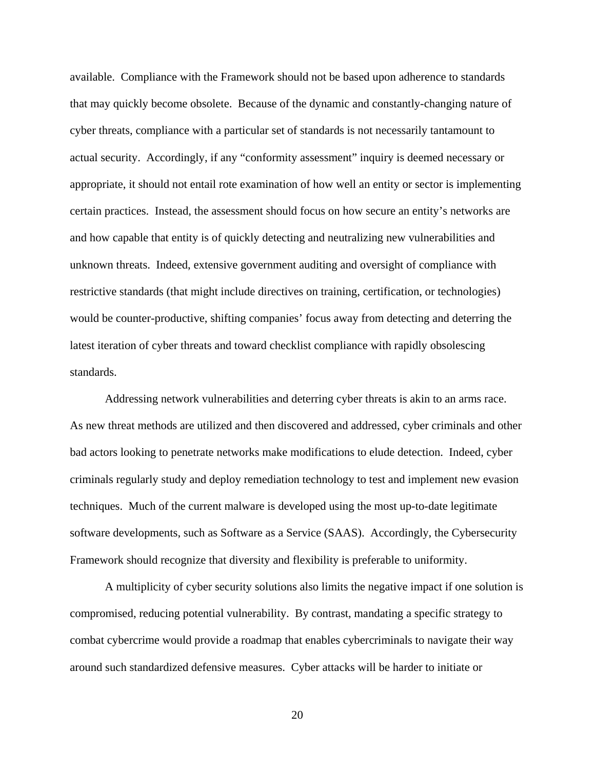available. Compliance with the Framework should not be based upon adherence to standards that may quickly become obsolete. Because of the dynamic and constantly-changing nature of cyber threats, compliance with a particular set of standards is not necessarily tantamount to actual security. Accordingly, if any "conformity assessment" inquiry is deemed necessary or appropriate, it should not entail rote examination of how well an entity or sector is implementing certain practices. Instead, the assessment should focus on how secure an entity's networks are and how capable that entity is of quickly detecting and neutralizing new vulnerabilities and unknown threats. Indeed, extensive government auditing and oversight of compliance with restrictive standards (that might include directives on training, certification, or technologies) would be counter-productive, shifting companies' focus away from detecting and deterring the latest iteration of cyber threats and toward checklist compliance with rapidly obsolescing standards.

Addressing network vulnerabilities and deterring cyber threats is akin to an arms race. As new threat methods are utilized and then discovered and addressed, cyber criminals and other bad actors looking to penetrate networks make modifications to elude detection. Indeed, cyber criminals regularly study and deploy remediation technology to test and implement new evasion techniques. Much of the current malware is developed using the most up-to-date legitimate software developments, such as Software as a Service (SAAS). Accordingly, the Cybersecurity Framework should recognize that diversity and flexibility is preferable to uniformity.

A multiplicity of cyber security solutions also limits the negative impact if one solution is compromised, reducing potential vulnerability. By contrast, mandating a specific strategy to combat cybercrime would provide a roadmap that enables cybercriminals to navigate their way around such standardized defensive measures. Cyber attacks will be harder to initiate or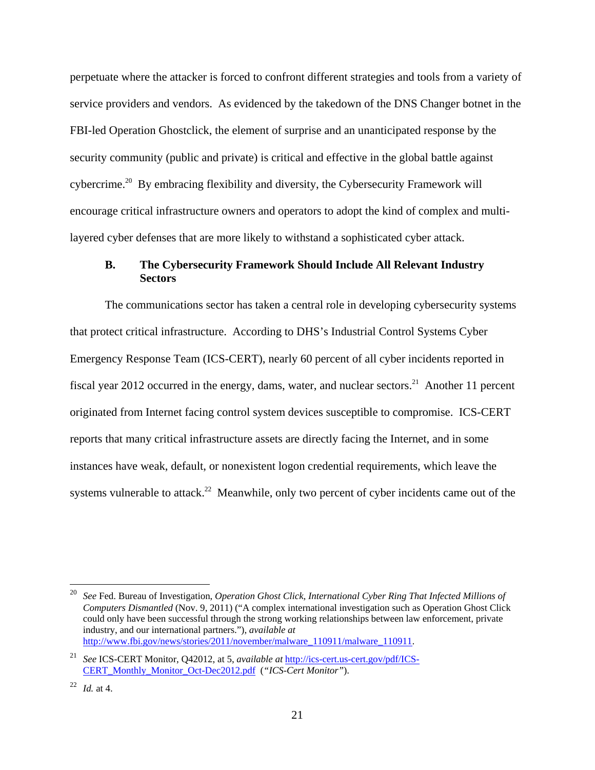<span id="page-22-0"></span>perpetuate where the attacker is forced to confront different strategies and tools from a variety of service providers and vendors. As evidenced by the takedown of the DNS Changer botnet in the FBI-led Operation Ghostclick, the element of surprise and an unanticipated response by the security community (public and private) is critical and effective in the global battle against cybercrime.20 By embracing flexibility and diversity, the Cybersecurity Framework will encourage critical infrastructure owners and operators to adopt the kind of complex and multilayered cyber defenses that are more likely to withstand a sophisticated cyber attack.

# **B. The Cybersecurity Framework Should Include All Relevant Industry Sectors**

The communications sector has taken a central role in developing cybersecurity systems that protect critical infrastructure. According to DHS's Industrial Control Systems Cyber Emergency Response Team (ICS-CERT), nearly 60 percent of all cyber incidents reported in fiscal year 2012 occurred in the energy, dams, water, and nuclear sectors.<sup>21</sup> Another 11 percent originated from Internet facing control system devices susceptible to compromise. ICS-CERT reports that many critical infrastructure assets are directly facing the Internet, and in some instances have weak, default, or nonexistent logon credential requirements, which leave the systems vulnerable to attack.<sup>22</sup> Meanwhile, only two percent of cyber incidents came out of the

<sup>&</sup>lt;sup>20</sup> See Fed. Bureau of Investigation, *Operation Ghost Click, International Cyber Ring That Infected Millions of Computers Dismantled* (Nov. 9, 2011) ("A complex international investigation such as Operation Ghost Click could only have been successful through the strong working relationships between law enforcement, private industry, and our international partners."), *available at*  http://www.fbi.gov/news/stories/2011/november/malware\_110911/malware\_110911.

 CERT\_Monthly\_Monitor\_Oct-Dec2012.pdf (*"ICS-Cert Monitor"*). <sup>21</sup> *See* ICS-CERT Monitor, Q42012, at 5, *available at http://ics-cert.us-cert.gov/pdf/ICS-*

<sup>22</sup>*Id.* at 4.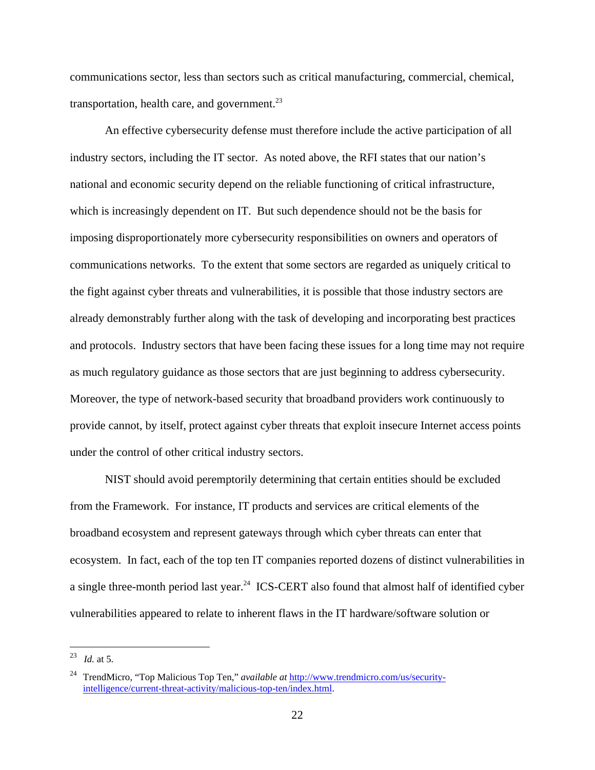communications sector, less than sectors such as critical manufacturing, commercial, chemical, transportation, health care, and government. $^{23}$ 

An effective cybersecurity defense must therefore include the active participation of all industry sectors, including the IT sector. As noted above, the RFI states that our nation's national and economic security depend on the reliable functioning of critical infrastructure, which is increasingly dependent on IT. But such dependence should not be the basis for imposing disproportionately more cybersecurity responsibilities on owners and operators of communications networks. To the extent that some sectors are regarded as uniquely critical to the fight against cyber threats and vulnerabilities, it is possible that those industry sectors are already demonstrably further along with the task of developing and incorporating best practices and protocols. Industry sectors that have been facing these issues for a long time may not require as much regulatory guidance as those sectors that are just beginning to address cybersecurity. Moreover, the type of network-based security that broadband providers work continuously to provide cannot, by itself, protect against cyber threats that exploit insecure Internet access points under the control of other critical industry sectors.

NIST should avoid peremptorily determining that certain entities should be excluded from the Framework. For instance, IT products and services are critical elements of the broadband ecosystem and represent gateways through which cyber threats can enter that ecosystem. In fact, each of the top ten IT companies reported dozens of distinct vulnerabilities in a single three-month period last year.<sup>24</sup> ICS-CERT also found that almost half of identified cyber vulnerabilities appeared to relate to inherent flaws in the IT hardware/software solution or

<sup>23</sup>*Id.* at 5.

<sup>24</sup> TrendMicro, "Top Malicious Top Ten," *available at* http://www.trendmicro.com/us/securityintelligence/current-threat-activity/malicious-top-ten/index.html.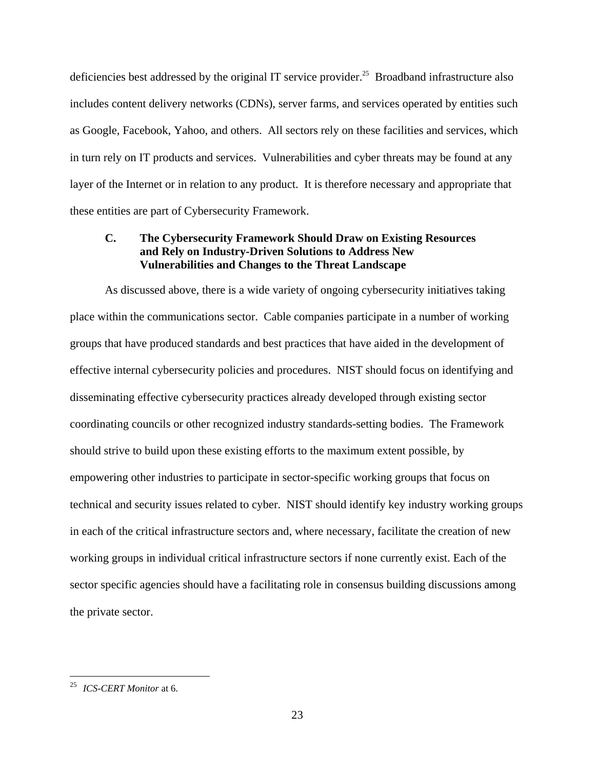<span id="page-24-0"></span>deficiencies best addressed by the original IT service provider.<sup>25</sup> Broadband infrastructure also includes content delivery networks (CDNs), server farms, and services operated by entities such as Google, Facebook, Yahoo, and others. All sectors rely on these facilities and services, which in turn rely on IT products and services. Vulnerabilities and cyber threats may be found at any layer of the Internet or in relation to any product. It is therefore necessary and appropriate that these entities are part of Cybersecurity Framework.

## **C. The Cybersecurity Framework Should Draw on Existing Resources and Rely on Industry-Driven Solutions to Address New Vulnerabilities and Changes to the Threat Landscape**

As discussed above, there is a wide variety of ongoing cybersecurity initiatives taking place within the communications sector. Cable companies participate in a number of working groups that have produced standards and best practices that have aided in the development of effective internal cybersecurity policies and procedures. NIST should focus on identifying and disseminating effective cybersecurity practices already developed through existing sector coordinating councils or other recognized industry standards-setting bodies. The Framework should strive to build upon these existing efforts to the maximum extent possible, by empowering other industries to participate in sector-specific working groups that focus on technical and security issues related to cyber. NIST should identify key industry working groups in each of the critical infrastructure sectors and, where necessary, facilitate the creation of new working groups in individual critical infrastructure sectors if none currently exist. Each of the sector specific agencies should have a facilitating role in consensus building discussions among the private sector.

*ICS-CERT Monitor* at 6. 25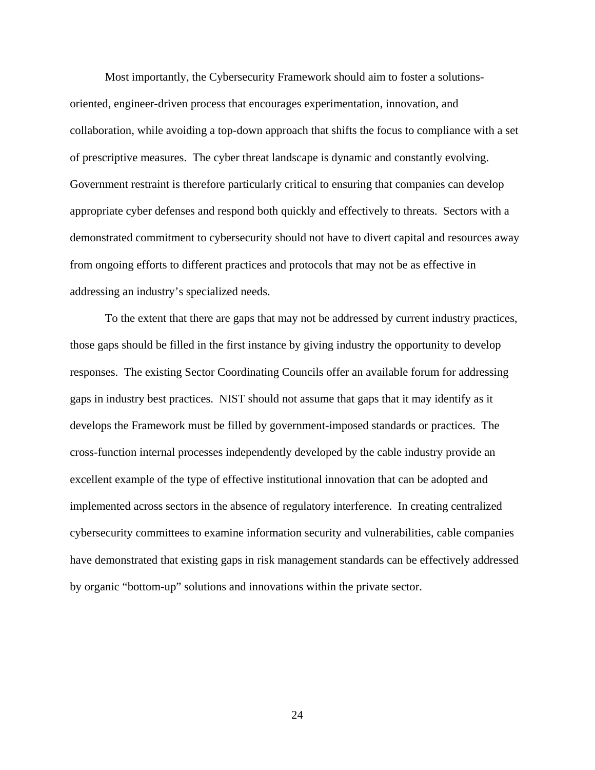Most importantly, the Cybersecurity Framework should aim to foster a solutionsoriented, engineer-driven process that encourages experimentation, innovation, and collaboration, while avoiding a top-down approach that shifts the focus to compliance with a set of prescriptive measures. The cyber threat landscape is dynamic and constantly evolving. Government restraint is therefore particularly critical to ensuring that companies can develop appropriate cyber defenses and respond both quickly and effectively to threats. Sectors with a demonstrated commitment to cybersecurity should not have to divert capital and resources away from ongoing efforts to different practices and protocols that may not be as effective in addressing an industry's specialized needs.

To the extent that there are gaps that may not be addressed by current industry practices, those gaps should be filled in the first instance by giving industry the opportunity to develop responses. The existing Sector Coordinating Councils offer an available forum for addressing gaps in industry best practices. NIST should not assume that gaps that it may identify as it develops the Framework must be filled by government-imposed standards or practices. The cross-function internal processes independently developed by the cable industry provide an excellent example of the type of effective institutional innovation that can be adopted and implemented across sectors in the absence of regulatory interference. In creating centralized cybersecurity committees to examine information security and vulnerabilities, cable companies have demonstrated that existing gaps in risk management standards can be effectively addressed by organic "bottom-up" solutions and innovations within the private sector.